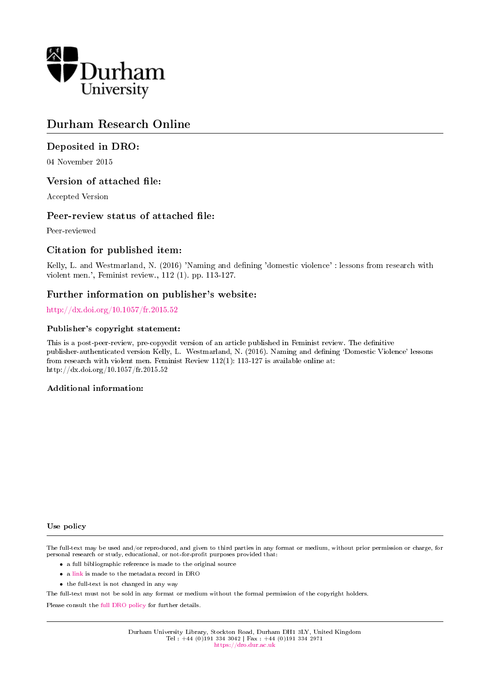

# Durham Research Online

## Deposited in DRO:

04 November 2015

## Version of attached file:

Accepted Version

## Peer-review status of attached file:

Peer-reviewed

## Citation for published item:

Kelly, L. and Westmarland, N. (2016) 'Naming and dening 'domestic violence' : lessons from research with violent men.', Feminist review., 112 (1). pp. 113-127.

## Further information on publisher's website:

<http://dx.doi.org/10.1057/fr.2015.52>

#### Publisher's copyright statement:

This is a post-peer-review, pre-copyedit version of an article published in Feminist review. The definitive publisher-authenticated version Kelly, L. Westmarland, N. (2016). Naming and dening `Domestic Violence' lessons from research with violent men. Feminist Review 112(1): 113-127 is available online at: http://dx.doi.org/10.1057/fr.2015.52

#### Additional information:

#### Use policy

The full-text may be used and/or reproduced, and given to third parties in any format or medium, without prior permission or charge, for personal research or study, educational, or not-for-profit purposes provided that:

- a full bibliographic reference is made to the original source
- a [link](http://dro.dur.ac.uk/16766/) is made to the metadata record in DRO
- the full-text is not changed in any way

The full-text must not be sold in any format or medium without the formal permission of the copyright holders.

Please consult the [full DRO policy](https://dro.dur.ac.uk/policies/usepolicy.pdf) for further details.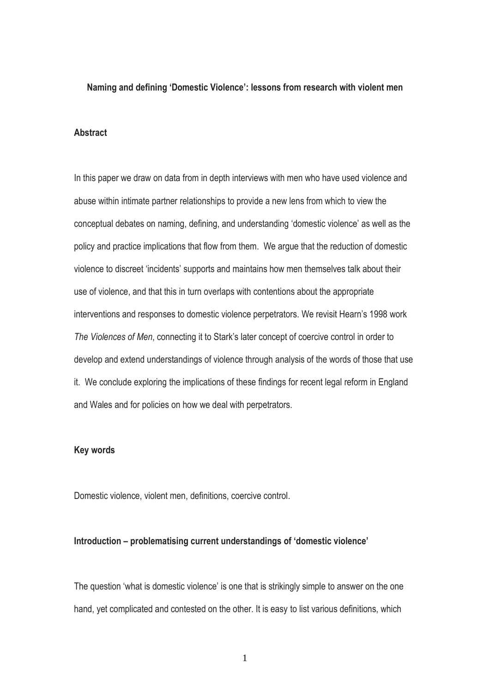#### **Naming and defining 'Domestic Violence': lessons from research with violent men**

## **Abstract**

In this paper we draw on data from in depth interviews with men who have used violence and abuse within intimate partner relationships to provide a new lens from which to view the conceptual debates on naming, defining, and understanding 'domestic violence' as well as the policy and practice implications that flow from them. We argue that the reduction of domestic violence to discreet 'incidents' supports and maintains how men themselves talk about their use of violence, and that this in turn overlaps with contentions about the appropriate interventions and responses to domestic violence perpetrators. We revisit Hearn's 1998 work *The Violences of Men*, connecting it to Stark's later concept of coercive control in order to develop and extend understandings of violence through analysis of the words of those that use it. We conclude exploring the implications of these findings for recent legal reform in England and Wales and for policies on how we deal with perpetrators.

## **Key words**

Domestic violence, violent men, definitions, coercive control.

### **Introduction – problematising current understandings of 'domestic violence'**

The question 'what is domestic violence' is one that is strikingly simple to answer on the one hand, yet complicated and contested on the other. It is easy to list various definitions, which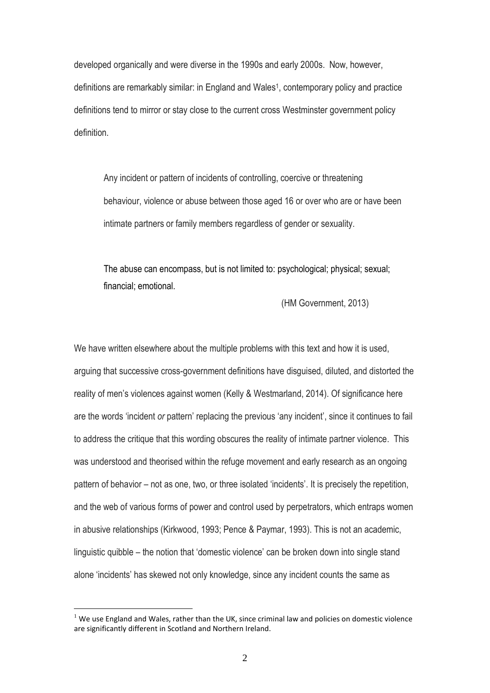developed organically and were diverse in the 1990s and early 2000s. Now, however, definitions are remarkably similar: in England and Wales<sup>1</sup>, contemporary policy and practice definitions tend to mirror or stay close to the current cross Westminster government policy definition.

Any incident or pattern of incidents of controlling, coercive or threatening behaviour, violence or abuse between those aged 16 or over who are or have been intimate partners or family members regardless of gender or sexuality.

The abuse can encompass, but is not limited to: psychological; physical; sexual; financial; emotional.

(HM Government, 2013)

We have written elsewhere about the multiple problems with this text and how it is used, arguing that successive cross-government definitions have disguised, diluted, and distorted the reality of men's violences against women (Kelly & Westmarland, 2014). Of significance here are the words 'incident *or* pattern' replacing the previous 'any incident', since it continues to fail to address the critique that this wording obscures the reality of intimate partner violence. This was understood and theorised within the refuge movement and early research as an ongoing pattern of behavior – not as one, two, or three isolated 'incidents'. It is precisely the repetition, and the web of various forms of power and control used by perpetrators, which entraps women in abusive relationships (Kirkwood, 1993; Pence & Paymar, 1993). This is not an academic, linguistic quibble – the notion that 'domestic violence' can be broken down into single stand alone 'incidents' has skewed not only knowledge, since any incident counts the same as

<u>.</u>

 $1$  We use England and Wales, rather than the UK, since criminal law and policies on domestic violence are significantly different in Scotland and Northern Ireland.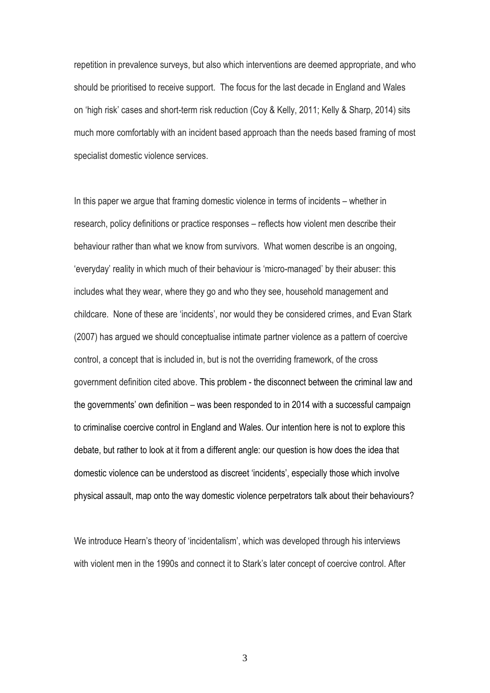repetition in prevalence surveys, but also which interventions are deemed appropriate, and who should be prioritised to receive support. The focus for the last decade in England and Wales on 'high risk' cases and short-term risk reduction (Coy & Kelly, 2011; Kelly & Sharp, 2014) sits much more comfortably with an incident based approach than the needs based framing of most specialist domestic violence services.

In this paper we argue that framing domestic violence in terms of incidents – whether in research, policy definitions or practice responses – reflects how violent men describe their behaviour rather than what we know from survivors. What women describe is an ongoing, 'everyday' reality in which much of their behaviour is 'micro-managed' by their abuser: this includes what they wear, where they go and who they see, household management and childcare. None of these are 'incidents', nor would they be considered crimes, and Evan Stark (2007) has argued we should conceptualise intimate partner violence as a pattern of coercive control, a concept that is included in, but is not the overriding framework, of the cross government definition cited above. This problem - the disconnect between the criminal law and the governments' own definition – was been responded to in 2014 with a successful campaign to criminalise coercive control in England and Wales. Our intention here is not to explore this debate, but rather to look at it from a different angle: our question is how does the idea that domestic violence can be understood as discreet 'incidents', especially those which involve physical assault, map onto the way domestic violence perpetrators talk about their behaviours?

We introduce Hearn's theory of 'incidentalism', which was developed through his interviews with violent men in the 1990s and connect it to Stark's later concept of coercive control. After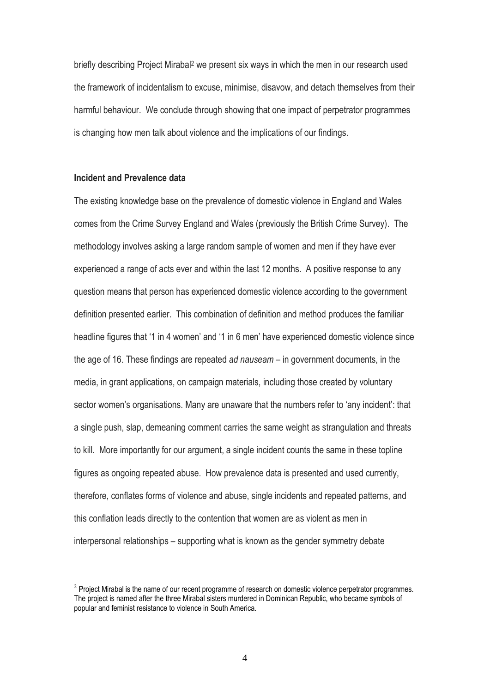briefly describing Project Mirabal<sup>2</sup> we present six ways in which the men in our research used the framework of incidentalism to excuse, minimise, disavow, and detach themselves from their harmful behaviour. We conclude through showing that one impact of perpetrator programmes is changing how men talk about violence and the implications of our findings.

## **Incident and Prevalence data**

<u>.</u>

The existing knowledge base on the prevalence of domestic violence in England and Wales comes from the Crime Survey England and Wales (previously the British Crime Survey). The methodology involves asking a large random sample of women and men if they have ever experienced a range of acts ever and within the last 12 months. A positive response to any question means that person has experienced domestic violence according to the government definition presented earlier. This combination of definition and method produces the familiar headline figures that '1 in 4 women' and '1 in 6 men' have experienced domestic violence since the age of 16. These findings are repeated *ad nauseam* – in government documents, in the media, in grant applications, on campaign materials, including those created by voluntary sector women's organisations. Many are unaware that the numbers refer to 'any incident': that a single push, slap, demeaning comment carries the same weight as strangulation and threats to kill. More importantly for our argument, a single incident counts the same in these topline figures as ongoing repeated abuse. How prevalence data is presented and used currently, therefore, conflates forms of violence and abuse, single incidents and repeated patterns, and this conflation leads directly to the contention that women are as violent as men in interpersonal relationships – supporting what is known as the gender symmetry debate

 $2$  Project Mirabal is the name of our recent programme of research on domestic violence perpetrator programmes. The project is named after the three Mirabal sisters murdered in Dominican Republic, who became symbols of popular and feminist resistance to violence in South America.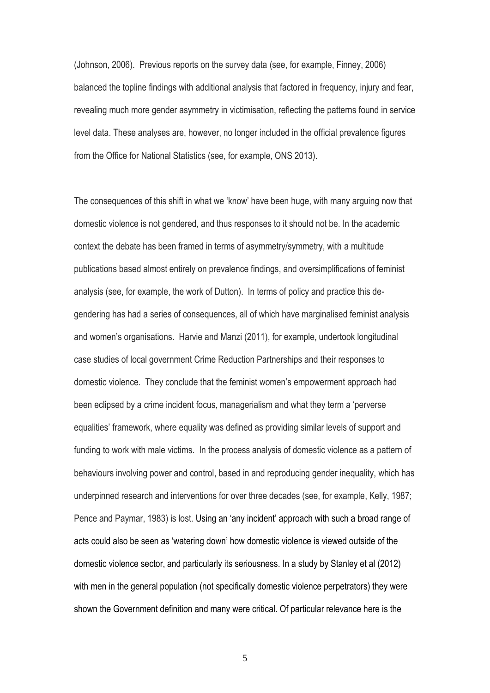(Johnson, 2006). Previous reports on the survey data (see, for example, Finney, 2006) balanced the topline findings with additional analysis that factored in frequency, injury and fear, revealing much more gender asymmetry in victimisation, reflecting the patterns found in service level data. These analyses are, however, no longer included in the official prevalence figures from the Office for National Statistics (see, for example, ONS 2013).

The consequences of this shift in what we 'know' have been huge, with many arguing now that domestic violence is not gendered, and thus responses to it should not be. In the academic context the debate has been framed in terms of asymmetry/symmetry, with a multitude publications based almost entirely on prevalence findings, and oversimplifications of feminist analysis (see, for example, the work of Dutton). In terms of policy and practice this degendering has had a series of consequences, all of which have marginalised feminist analysis and women's organisations. Harvie and Manzi (2011), for example, undertook longitudinal case studies of local government Crime Reduction Partnerships and their responses to domestic violence. They conclude that the feminist women's empowerment approach had been eclipsed by a crime incident focus, managerialism and what they term a 'perverse equalities' framework, where equality was defined as providing similar levels of support and funding to work with male victims. In the process analysis of domestic violence as a pattern of behaviours involving power and control, based in and reproducing gender inequality, which has underpinned research and interventions for over three decades (see, for example, Kelly, 1987; Pence and Paymar, 1983) is lost. Using an 'any incident' approach with such a broad range of acts could also be seen as 'watering down' how domestic violence is viewed outside of the domestic violence sector, and particularly its seriousness. In a study by Stanley et al (2012) with men in the general population (not specifically domestic violence perpetrators) they were shown the Government definition and many were critical. Of particular relevance here is the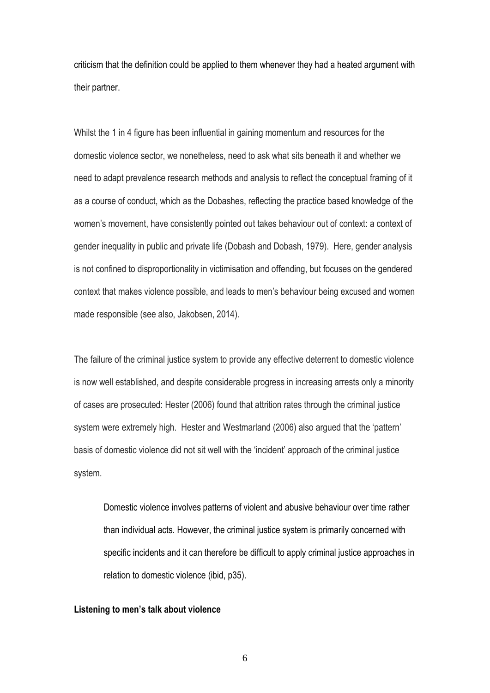criticism that the definition could be applied to them whenever they had a heated argument with their partner.

Whilst the 1 in 4 figure has been influential in gaining momentum and resources for the domestic violence sector, we nonetheless, need to ask what sits beneath it and whether we need to adapt prevalence research methods and analysis to reflect the conceptual framing of it as a course of conduct, which as the Dobashes, reflecting the practice based knowledge of the women's movement, have consistently pointed out takes behaviour out of context: a context of gender inequality in public and private life (Dobash and Dobash, 1979). Here, gender analysis is not confined to disproportionality in victimisation and offending, but focuses on the gendered context that makes violence possible, and leads to men's behaviour being excused and women made responsible (see also, Jakobsen, 2014).

The failure of the criminal justice system to provide any effective deterrent to domestic violence is now well established, and despite considerable progress in increasing arrests only a minority of cases are prosecuted: Hester (2006) found that attrition rates through the criminal justice system were extremely high. Hester and Westmarland (2006) also argued that the 'pattern' basis of domestic violence did not sit well with the 'incident' approach of the criminal justice system.

Domestic violence involves patterns of violent and abusive behaviour over time rather than individual acts. However, the criminal justice system is primarily concerned with specific incidents and it can therefore be difficult to apply criminal justice approaches in relation to domestic violence (ibid, p35).

#### **Listening to men's talk about violence**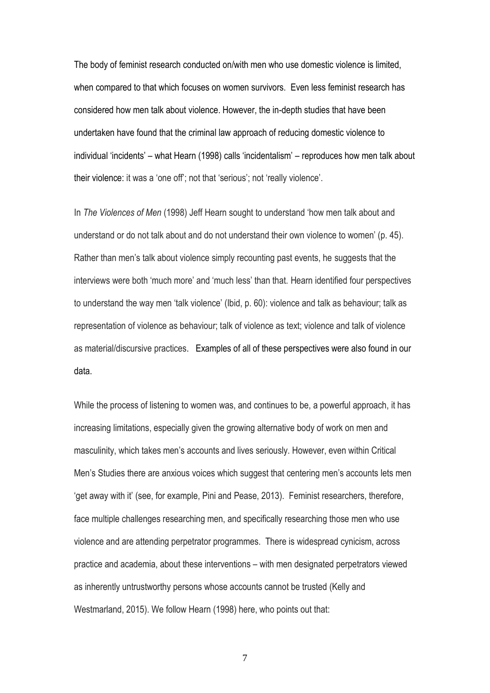The body of feminist research conducted on/with men who use domestic violence is limited, when compared to that which focuses on women survivors. Even less feminist research has considered how men talk about violence. However, the in-depth studies that have been undertaken have found that the criminal law approach of reducing domestic violence to individual 'incidents' – what Hearn (1998) calls 'incidentalism' – reproduces how men talk about their violence: it was a 'one off'; not that 'serious'; not 'really violence'.

In *The Violences of Men* (1998) Jeff Hearn sought to understand 'how men talk about and understand or do not talk about and do not understand their own violence to women' (p. 45). Rather than men's talk about violence simply recounting past events, he suggests that the interviews were both 'much more' and 'much less' than that. Hearn identified four perspectives to understand the way men 'talk violence' (Ibid, p. 60): violence and talk as behaviour; talk as representation of violence as behaviour; talk of violence as text; violence and talk of violence as material/discursive practices. Examples of all of these perspectives were also found in our data.

While the process of listening to women was, and continues to be, a powerful approach, it has increasing limitations, especially given the growing alternative body of work on men and masculinity, which takes men's accounts and lives seriously. However, even within Critical Men's Studies there are anxious voices which suggest that centering men's accounts lets men 'get away with it' (see, for example, Pini and Pease, 2013). Feminist researchers, therefore, face multiple challenges researching men, and specifically researching those men who use violence and are attending perpetrator programmes. There is widespread cynicism, across practice and academia, about these interventions – with men designated perpetrators viewed as inherently untrustworthy persons whose accounts cannot be trusted (Kelly and Westmarland, 2015). We follow Hearn (1998) here, who points out that: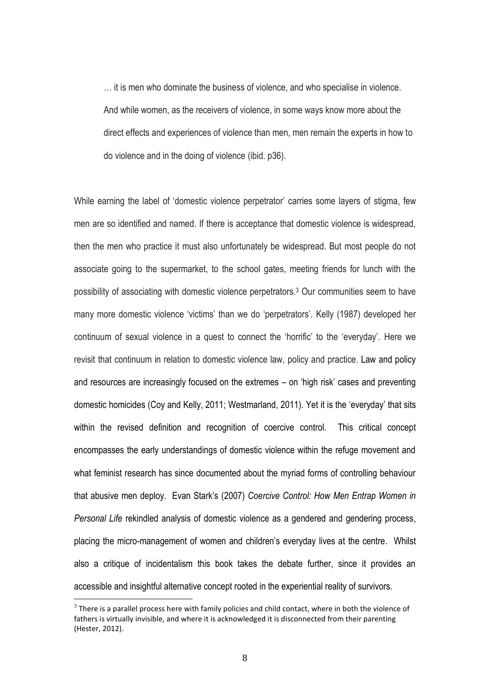… it is men who dominate the business of violence, and who specialise in violence. And while women, as the receivers of violence, in some ways know more about the direct effects and experiences of violence than men, men remain the experts in how to do violence and in the doing of violence (ibid. p36).

While earning the label of 'domestic violence perpetrator' carries some layers of stigma, few men are so identified and named. If there is acceptance that domestic violence is widespread, then the men who practice it must also unfortunately be widespread. But most people do not associate going to the supermarket, to the school gates, meeting friends for lunch with the possibility of associating with domestic violence perpetrators. <sup>3</sup> Our communities seem to have many more domestic violence 'victims' than we do 'perpetrators'. Kelly (1987) developed her continuum of sexual violence in a quest to connect the 'horrific' to the 'everyday'. Here we revisit that continuum in relation to domestic violence law, policy and practice. Law and policy and resources are increasingly focused on the extremes – on 'high risk' cases and preventing domestic homicides (Coy and Kelly, 2011; Westmarland, 2011). Yet it is the 'everyday' that sits within the revised definition and recognition of coercive control. This critical concept encompasses the early understandings of domestic violence within the refuge movement and what feminist research has since documented about the myriad forms of controlling behaviour that abusive men deploy. Evan Stark's (2007) *Coercive Control: How Men Entrap Women in Personal Life* rekindled analysis of domestic violence as a gendered and gendering process, placing the micro-management of women and children's everyday lives at the centre. Whilst also a critique of incidentalism this book takes the debate further, since it provides an accessible and insightful alternative concept rooted in the experiential reality of survivors.

 $3$  There is a parallel process here with family policies and child contact, where in both the violence of fathers is virtually invisible, and where it is acknowledged it is disconnected from their parenting (Hester, 2012).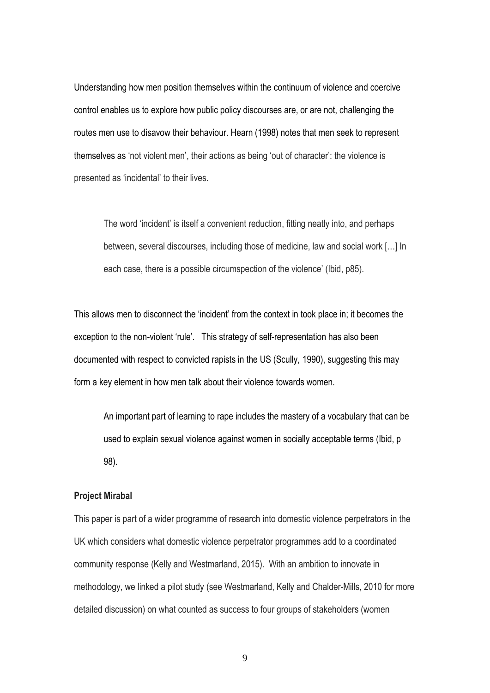Understanding how men position themselves within the continuum of violence and coercive control enables us to explore how public policy discourses are, or are not, challenging the routes men use to disavow their behaviour. Hearn (1998) notes that men seek to represent themselves as 'not violent men', their actions as being 'out of character': the violence is presented as 'incidental' to their lives.

The word 'incident' is itself a convenient reduction, fitting neatly into, and perhaps between, several discourses, including those of medicine, law and social work […] In each case, there is a possible circumspection of the violence' (Ibid, p85).

This allows men to disconnect the 'incident' from the context in took place in; it becomes the exception to the non-violent 'rule'. This strategy of self-representation has also been documented with respect to convicted rapists in the US (Scully, 1990), suggesting this may form a key element in how men talk about their violence towards women.

An important part of learning to rape includes the mastery of a vocabulary that can be used to explain sexual violence against women in socially acceptable terms (Ibid, p 98).

#### **Project Mirabal**

This paper is part of a wider programme of research into domestic violence perpetrators in the UK which considers what domestic violence perpetrator programmes add to a coordinated community response (Kelly and Westmarland, 2015). With an ambition to innovate in methodology, we linked a pilot study (see Westmarland, Kelly and Chalder-Mills, 2010 for more detailed discussion) on what counted as success to four groups of stakeholders (women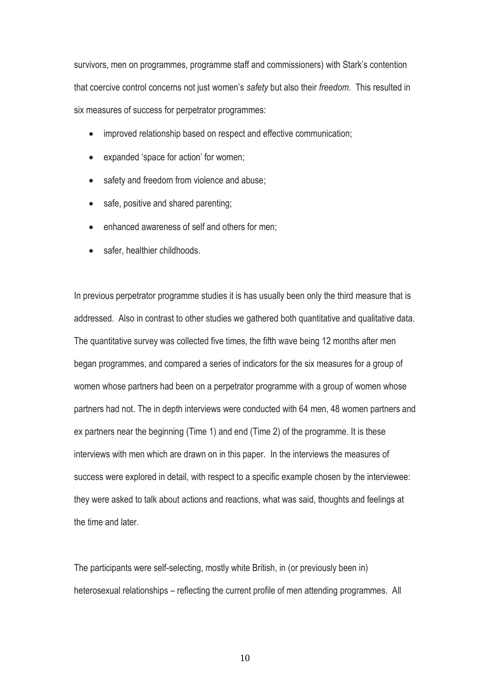survivors, men on programmes, programme staff and commissioners) with Stark's contention that coercive control concerns not just women's *safety* but also their *freedom*. This resulted in six measures of success for perpetrator programmes:

- improved relationship based on respect and effective communication;
- expanded 'space for action' for women;
- safety and freedom from violence and abuse;
- safe, positive and shared parenting;
- enhanced awareness of self and others for men;
- safer, healthier childhoods.

In previous perpetrator programme studies it is has usually been only the third measure that is addressed. Also in contrast to other studies we gathered both quantitative and qualitative data. The quantitative survey was collected five times, the fifth wave being 12 months after men began programmes, and compared a series of indicators for the six measures for a group of women whose partners had been on a perpetrator programme with a group of women whose partners had not. The in depth interviews were conducted with 64 men, 48 women partners and ex partners near the beginning (Time 1) and end (Time 2) of the programme. It is these interviews with men which are drawn on in this paper. In the interviews the measures of success were explored in detail, with respect to a specific example chosen by the interviewee: they were asked to talk about actions and reactions, what was said, thoughts and feelings at the time and later.

The participants were self-selecting, mostly white British, in (or previously been in) heterosexual relationships – reflecting the current profile of men attending programmes. All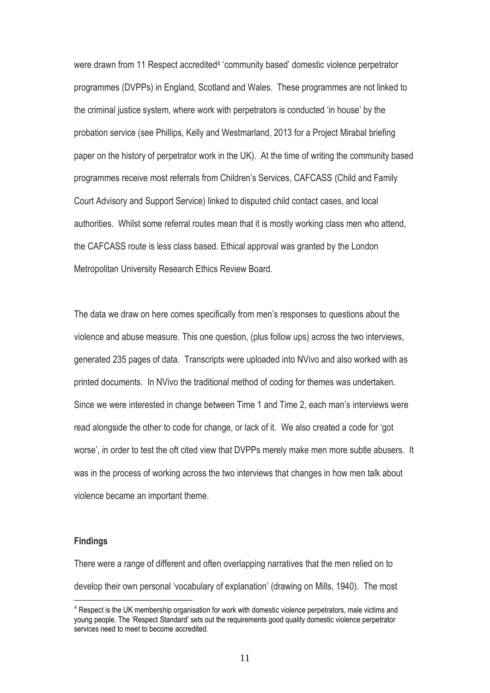were drawn from 11 Respect accredited<sup>4</sup> 'community based' domestic violence perpetrator programmes (DVPPs) in England, Scotland and Wales. These programmes are not linked to the criminal justice system, where work with perpetrators is conducted 'in house' by the probation service (see Phillips, Kelly and Westmarland, 2013 for a Project Mirabal briefing paper on the history of perpetrator work in the UK). At the time of writing the community based programmes receive most referrals from Children's Services, CAFCASS (Child and Family Court Advisory and Support Service) linked to disputed child contact cases, and local authorities. Whilst some referral routes mean that it is mostly working class men who attend, the CAFCASS route is less class based. Ethical approval was granted by the London Metropolitan University Research Ethics Review Board.

The data we draw on here comes specifically from men's responses to questions about the violence and abuse measure. This one question, (plus follow ups) across the two interviews, generated 235 pages of data. Transcripts were uploaded into NVivo and also worked with as printed documents. In NVivo the traditional method of coding for themes was undertaken. Since we were interested in change between Time 1 and Time 2, each man's interviews were read alongside the other to code for change, or lack of it. We also created a code for 'got worse', in order to test the oft cited view that DVPPs merely make men more subtle abusers. It was in the process of working across the two interviews that changes in how men talk about violence became an important theme.

#### **Findings**

<u>.</u>

There were a range of different and often overlapping narratives that the men relied on to develop their own personal 'vocabulary of explanation' (drawing on Mills, 1940). The most

<sup>&</sup>lt;sup>4</sup> Respect is the UK membership organisation for work with domestic violence perpetrators, male victims and young people. The 'Respect Standard' sets out the requirements good quality domestic violence perpetrator services need to meet to become accredited.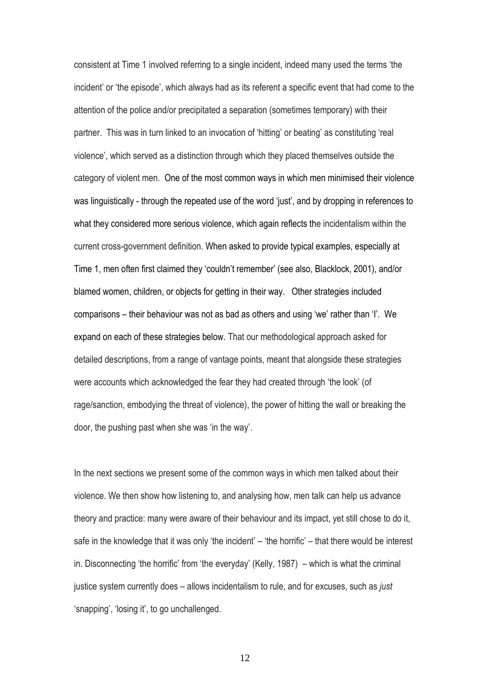consistent at Time 1 involved referring to a single incident, indeed many used the terms 'the incident' or 'the episode', which always had as its referent a specific event that had come to the attention of the police and/or precipitated a separation (sometimes temporary) with their partner. This was in turn linked to an invocation of 'hitting' or beating' as constituting 'real violence', which served as a distinction through which they placed themselves outside the category of violent men. One of the most common ways in which men minimised their violence was linguistically - through the repeated use of the word 'just', and by dropping in references to what they considered more serious violence, which again reflects the incidentalism within the current cross-government definition. When asked to provide typical examples, especially at Time 1, men often first claimed they 'couldn't remember' (see also, Blacklock, 2001), and/or blamed women, children, or objects for getting in their way. Other strategies included comparisons – their behaviour was not as bad as others and using 'we' rather than 'I'. We expand on each of these strategies below. That our methodological approach asked for detailed descriptions, from a range of vantage points, meant that alongside these strategies were accounts which acknowledged the fear they had created through 'the look' (of rage/sanction, embodying the threat of violence), the power of hitting the wall or breaking the door, the pushing past when she was 'in the way'.

In the next sections we present some of the common ways in which men talked about their violence. We then show how listening to, and analysing how, men talk can help us advance theory and practice: many were aware of their behaviour and its impact, yet still chose to do it, safe in the knowledge that it was only 'the incident' – 'the horrific' – that there would be interest in. Disconnecting 'the horrific' from 'the everyday' (Kelly, 1987) – which is what the criminal justice system currently does – allows incidentalism to rule, and for excuses, such as *just* 'snapping', 'losing it', to go unchallenged.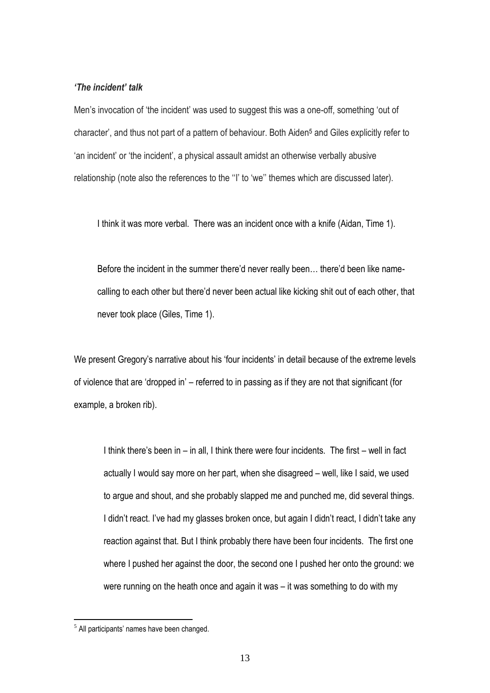### *'The incident' talk*

Men's invocation of 'the incident' was used to suggest this was a one-off, something 'out of character', and thus not part of a pattern of behaviour. Both Aiden<sup>5</sup> and Giles explicitly refer to 'an incident' or 'the incident', a physical assault amidst an otherwise verbally abusive relationship (note also the references to the ''I' to 'we'' themes which are discussed later).

I think it was more verbal. There was an incident once with a knife (Aidan, Time 1).

Before the incident in the summer there'd never really been… there'd been like namecalling to each other but there'd never been actual like kicking shit out of each other, that never took place (Giles, Time 1).

We present Gregory's narrative about his 'four incidents' in detail because of the extreme levels of violence that are 'dropped in' – referred to in passing as if they are not that significant (for example, a broken rib).

I think there's been in – in all, I think there were four incidents. The first – well in fact actually I would say more on her part, when she disagreed – well, like I said, we used to argue and shout, and she probably slapped me and punched me, did several things. I didn't react. I've had my glasses broken once, but again I didn't react, I didn't take any reaction against that. But I think probably there have been four incidents. The first one where I pushed her against the door, the second one I pushed her onto the ground: we were running on the heath once and again it was – it was something to do with my

 $<sup>5</sup>$  All participants' names have been changed.</sup>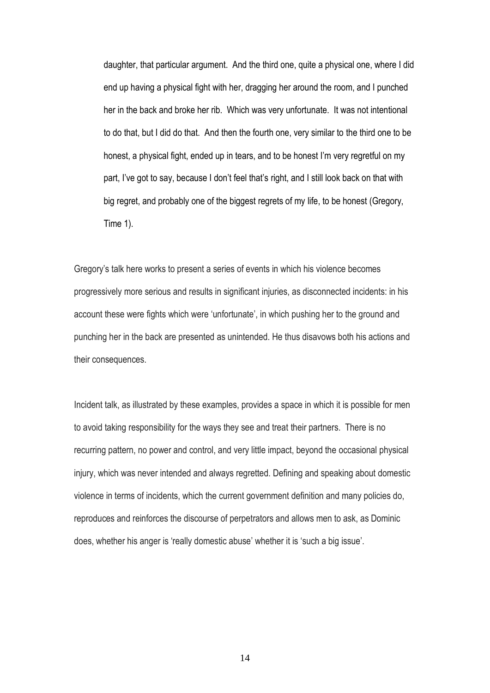daughter, that particular argument. And the third one, quite a physical one, where I did end up having a physical fight with her, dragging her around the room, and I punched her in the back and broke her rib. Which was very unfortunate. It was not intentional to do that, but I did do that. And then the fourth one, very similar to the third one to be honest, a physical fight, ended up in tears, and to be honest I'm very regretful on my part, I've got to say, because I don't feel that's right, and I still look back on that with big regret, and probably one of the biggest regrets of my life, to be honest (Gregory, Time 1).

Gregory's talk here works to present a series of events in which his violence becomes progressively more serious and results in significant injuries, as disconnected incidents: in his account these were fights which were 'unfortunate', in which pushing her to the ground and punching her in the back are presented as unintended. He thus disavows both his actions and their consequences.

Incident talk, as illustrated by these examples, provides a space in which it is possible for men to avoid taking responsibility for the ways they see and treat their partners. There is no recurring pattern, no power and control, and very little impact, beyond the occasional physical injury, which was never intended and always regretted. Defining and speaking about domestic violence in terms of incidents, which the current government definition and many policies do, reproduces and reinforces the discourse of perpetrators and allows men to ask, as Dominic does, whether his anger is 'really domestic abuse' whether it is 'such a big issue'.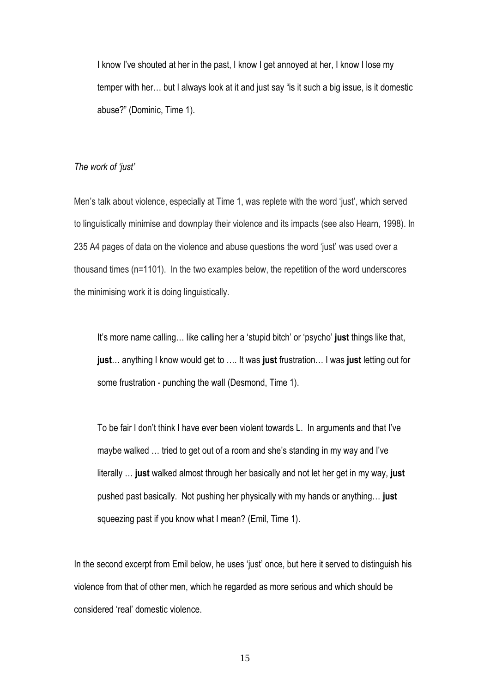I know I've shouted at her in the past, I know I get annoyed at her, I know I lose my temper with her… but I always look at it and just say "is it such a big issue, is it domestic abuse?" (Dominic, Time 1).

## *The work of 'just'*

Men's talk about violence, especially at Time 1, was replete with the word 'just', which served to linguistically minimise and downplay their violence and its impacts (see also Hearn, 1998). In 235 A4 pages of data on the violence and abuse questions the word 'just' was used over a thousand times (n=1101). In the two examples below, the repetition of the word underscores the minimising work it is doing linguistically.

It's more name calling… like calling her a 'stupid bitch' or 'psycho' **just** things like that, **just**… anything I know would get to …. It was **just** frustration… I was **just** letting out for some frustration - punching the wall (Desmond, Time 1).

To be fair I don't think I have ever been violent towards L. In arguments and that I've maybe walked … tried to get out of a room and she's standing in my way and I've literally … **just** walked almost through her basically and not let her get in my way, **just** pushed past basically. Not pushing her physically with my hands or anything… **just** squeezing past if you know what I mean? (Emil, Time 1).

In the second excerpt from Emil below, he uses 'just' once, but here it served to distinguish his violence from that of other men, which he regarded as more serious and which should be considered 'real' domestic violence.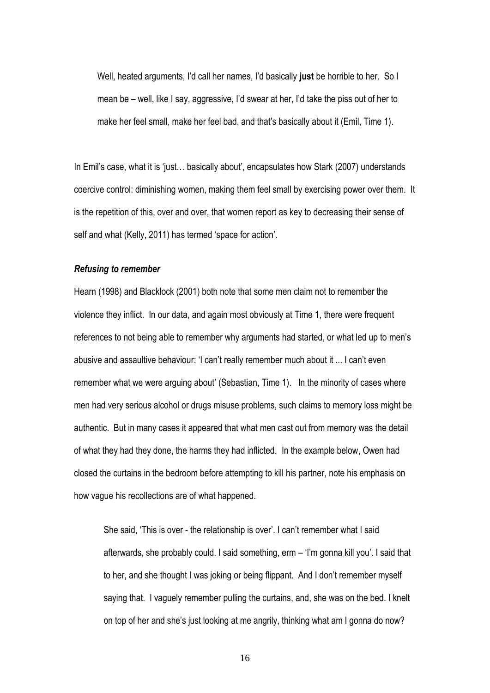Well, heated arguments, I'd call her names, I'd basically **just** be horrible to her. So I mean be – well, like I say, aggressive, I'd swear at her, I'd take the piss out of her to make her feel small, make her feel bad, and that's basically about it (Emil, Time 1).

In Emil's case, what it is 'just… basically about', encapsulates how Stark (2007) understands coercive control: diminishing women, making them feel small by exercising power over them. It is the repetition of this, over and over, that women report as key to decreasing their sense of self and what (Kelly, 2011) has termed 'space for action'.

#### *Refusing to remember*

Hearn (1998) and Blacklock (2001) both note that some men claim not to remember the violence they inflict. In our data, and again most obviously at Time 1, there were frequent references to not being able to remember why arguments had started, or what led up to men's abusive and assaultive behaviour: 'I can't really remember much about it ... I can't even remember what we were arguing about' (Sebastian, Time 1). In the minority of cases where men had very serious alcohol or drugs misuse problems, such claims to memory loss might be authentic. But in many cases it appeared that what men cast out from memory was the detail of what they had they done, the harms they had inflicted. In the example below, Owen had closed the curtains in the bedroom before attempting to kill his partner, note his emphasis on how vague his recollections are of what happened.

She said, 'This is over - the relationship is over'. I can't remember what I said afterwards, she probably could. I said something, erm – 'I'm gonna kill you'. I said that to her, and she thought I was joking or being flippant. And I don't remember myself saying that. I vaguely remember pulling the curtains, and, she was on the bed. I knelt on top of her and she's just looking at me angrily, thinking what am I gonna do now?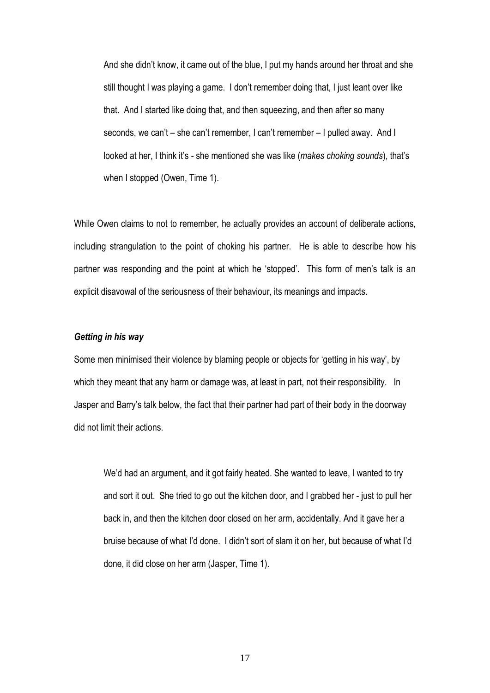And she didn't know, it came out of the blue, I put my hands around her throat and she still thought I was playing a game. I don't remember doing that, I just leant over like that. And I started like doing that, and then squeezing, and then after so many seconds, we can't – she can't remember, I can't remember – I pulled away. And I looked at her, I think it's - she mentioned she was like (*makes choking sounds*), that's when I stopped (Owen, Time 1).

While Owen claims to not to remember, he actually provides an account of deliberate actions, including strangulation to the point of choking his partner. He is able to describe how his partner was responding and the point at which he 'stopped'. This form of men's talk is an explicit disavowal of the seriousness of their behaviour, its meanings and impacts.

## *Getting in his way*

Some men minimised their violence by blaming people or objects for 'getting in his way', by which they meant that any harm or damage was, at least in part, not their responsibility. In Jasper and Barry's talk below, the fact that their partner had part of their body in the doorway did not limit their actions.

We'd had an argument, and it got fairly heated. She wanted to leave, I wanted to try and sort it out. She tried to go out the kitchen door, and I grabbed her - just to pull her back in, and then the kitchen door closed on her arm, accidentally. And it gave her a bruise because of what I'd done. I didn't sort of slam it on her, but because of what I'd done, it did close on her arm (Jasper, Time 1).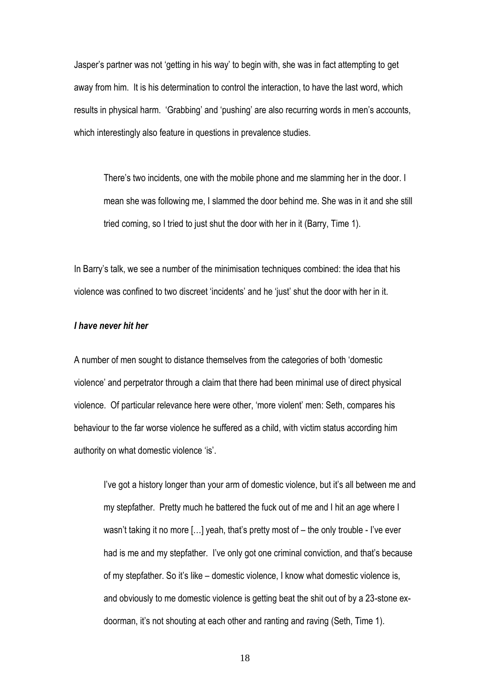Jasper's partner was not 'getting in his way' to begin with, she was in fact attempting to get away from him. It is his determination to control the interaction, to have the last word, which results in physical harm. 'Grabbing' and 'pushing' are also recurring words in men's accounts, which interestingly also feature in questions in prevalence studies.

There's two incidents, one with the mobile phone and me slamming her in the door. I mean she was following me, I slammed the door behind me. She was in it and she still tried coming, so I tried to just shut the door with her in it (Barry, Time 1).

In Barry's talk, we see a number of the minimisation techniques combined: the idea that his violence was confined to two discreet 'incidents' and he 'just' shut the door with her in it.

### *I have never hit her*

A number of men sought to distance themselves from the categories of both 'domestic violence' and perpetrator through a claim that there had been minimal use of direct physical violence. Of particular relevance here were other, 'more violent' men: Seth, compares his behaviour to the far worse violence he suffered as a child, with victim status according him authority on what domestic violence 'is'.

I've got a history longer than your arm of domestic violence, but it's all between me and my stepfather. Pretty much he battered the fuck out of me and I hit an age where I wasn't taking it no more […] yeah, that's pretty most of – the only trouble - I've ever had is me and my stepfather. I've only got one criminal conviction, and that's because of my stepfather. So it's like – domestic violence, I know what domestic violence is, and obviously to me domestic violence is getting beat the shit out of by a 23-stone exdoorman, it's not shouting at each other and ranting and raving (Seth, Time 1).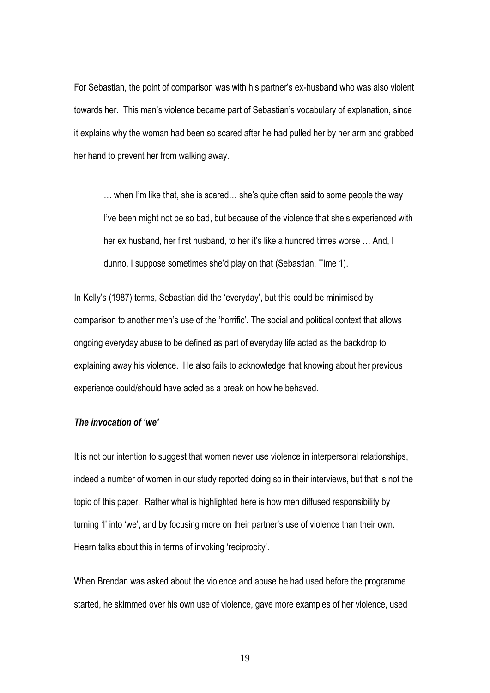For Sebastian, the point of comparison was with his partner's ex-husband who was also violent towards her. This man's violence became part of Sebastian's vocabulary of explanation, since it explains why the woman had been so scared after he had pulled her by her arm and grabbed her hand to prevent her from walking away.

… when I'm like that, she is scared… she's quite often said to some people the way I've been might not be so bad, but because of the violence that she's experienced with her ex husband, her first husband, to her it's like a hundred times worse … And, I dunno, I suppose sometimes she'd play on that (Sebastian, Time 1).

In Kelly's (1987) terms, Sebastian did the 'everyday', but this could be minimised by comparison to another men's use of the 'horrific'. The social and political context that allows ongoing everyday abuse to be defined as part of everyday life acted as the backdrop to explaining away his violence. He also fails to acknowledge that knowing about her previous experience could/should have acted as a break on how he behaved.

## *The invocation of 'we'*

It is not our intention to suggest that women never use violence in interpersonal relationships, indeed a number of women in our study reported doing so in their interviews, but that is not the topic of this paper. Rather what is highlighted here is how men diffused responsibility by turning 'I' into 'we', and by focusing more on their partner's use of violence than their own. Hearn talks about this in terms of invoking 'reciprocity'.

When Brendan was asked about the violence and abuse he had used before the programme started, he skimmed over his own use of violence, gave more examples of her violence, used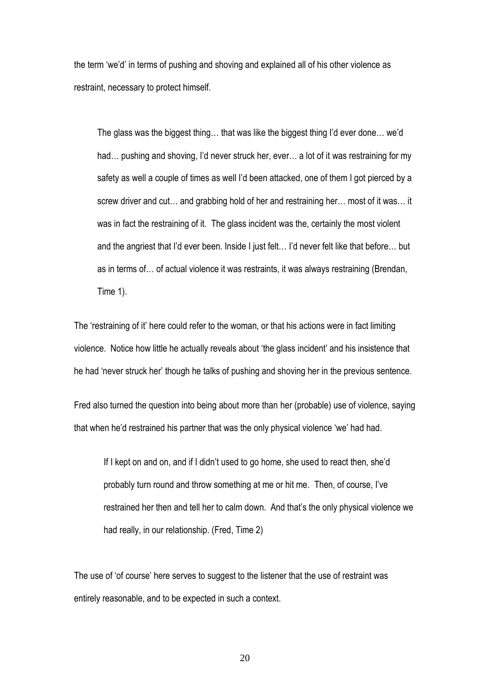the term 'we'd' in terms of pushing and shoving and explained all of his other violence as restraint, necessary to protect himself.

The glass was the biggest thing… that was like the biggest thing I'd ever done… we'd had… pushing and shoving, I'd never struck her, ever… a lot of it was restraining for my safety as well a couple of times as well I'd been attacked, one of them I got pierced by a screw driver and cut… and grabbing hold of her and restraining her… most of it was… it was in fact the restraining of it. The glass incident was the, certainly the most violent and the angriest that I'd ever been. Inside I just felt… I'd never felt like that before… but as in terms of… of actual violence it was restraints, it was always restraining (Brendan, Time 1).

The 'restraining of it' here could refer to the woman, or that his actions were in fact limiting violence. Notice how little he actually reveals about 'the glass incident' and his insistence that he had 'never struck her' though he talks of pushing and shoving her in the previous sentence.

Fred also turned the question into being about more than her (probable) use of violence, saying that when he'd restrained his partner that was the only physical violence 'we' had had.

If I kept on and on, and if I didn't used to go home, she used to react then, she'd probably turn round and throw something at me or hit me. Then, of course, I've restrained her then and tell her to calm down. And that's the only physical violence we had really, in our relationship. (Fred, Time 2)

The use of 'of course' here serves to suggest to the listener that the use of restraint was entirely reasonable, and to be expected in such a context.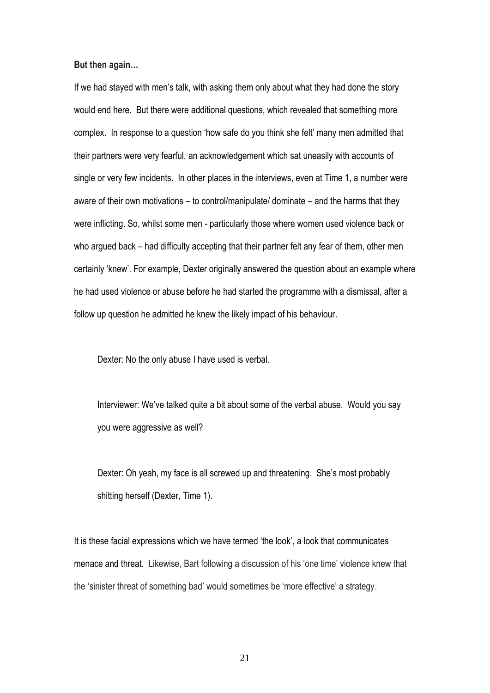**But then again…** 

If we had stayed with men's talk, with asking them only about what they had done the story would end here. But there were additional questions, which revealed that something more complex. In response to a question 'how safe do you think she felt' many men admitted that their partners were very fearful, an acknowledgement which sat uneasily with accounts of single or very few incidents. In other places in the interviews, even at Time 1, a number were aware of their own motivations – to control/manipulate/ dominate – and the harms that they were inflicting. So, whilst some men - particularly those where women used violence back or who argued back – had difficulty accepting that their partner felt any fear of them, other men certainly 'knew'. For example, Dexter originally answered the question about an example where he had used violence or abuse before he had started the programme with a dismissal, after a follow up question he admitted he knew the likely impact of his behaviour.

Dexter: No the only abuse I have used is verbal.

Interviewer: We've talked quite a bit about some of the verbal abuse. Would you say you were aggressive as well?

Dexter: Oh yeah, my face is all screwed up and threatening. She's most probably shitting herself (Dexter, Time 1).

It is these facial expressions which we have termed 'the look', a look that communicates menace and threat. Likewise, Bart following a discussion of his 'one time' violence knew that the 'sinister threat of something bad' would sometimes be 'more effective' a strategy.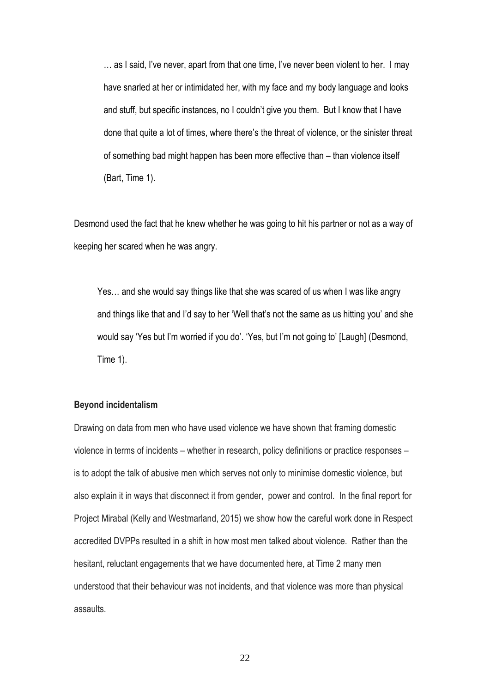… as I said, I've never, apart from that one time, I've never been violent to her. I may have snarled at her or intimidated her, with my face and my body language and looks and stuff, but specific instances, no I couldn't give you them. But I know that I have done that quite a lot of times, where there's the threat of violence, or the sinister threat of something bad might happen has been more effective than – than violence itself (Bart, Time 1).

Desmond used the fact that he knew whether he was going to hit his partner or not as a way of keeping her scared when he was angry.

Yes… and she would say things like that she was scared of us when I was like angry and things like that and I'd say to her 'Well that's not the same as us hitting you' and she would say 'Yes but I'm worried if you do'. 'Yes, but I'm not going to' [Laugh] (Desmond, Time 1).

### **Beyond incidentalism**

Drawing on data from men who have used violence we have shown that framing domestic violence in terms of incidents – whether in research, policy definitions or practice responses – is to adopt the talk of abusive men which serves not only to minimise domestic violence, but also explain it in ways that disconnect it from gender, power and control. In the final report for Project Mirabal (Kelly and Westmarland, 2015) we show how the careful work done in Respect accredited DVPPs resulted in a shift in how most men talked about violence. Rather than the hesitant, reluctant engagements that we have documented here, at Time 2 many men understood that their behaviour was not incidents, and that violence was more than physical assaults.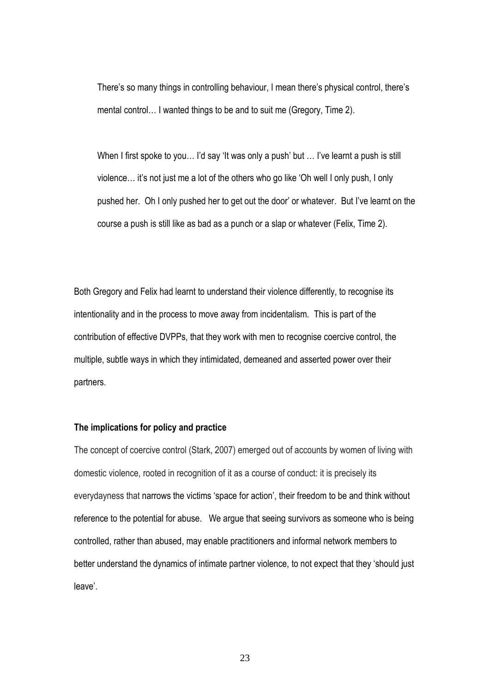There's so many things in controlling behaviour, I mean there's physical control, there's mental control… I wanted things to be and to suit me (Gregory, Time 2).

When I first spoke to you... I'd say 'It was only a push' but ... I've learnt a push is still violence… it's not just me a lot of the others who go like 'Oh well I only push, I only pushed her. Oh I only pushed her to get out the door' or whatever. But I've learnt on the course a push is still like as bad as a punch or a slap or whatever (Felix, Time 2).

Both Gregory and Felix had learnt to understand their violence differently, to recognise its intentionality and in the process to move away from incidentalism. This is part of the contribution of effective DVPPs, that they work with men to recognise coercive control, the multiple, subtle ways in which they intimidated, demeaned and asserted power over their partners.

## **The implications for policy and practice**

The concept of coercive control (Stark, 2007) emerged out of accounts by women of living with domestic violence, rooted in recognition of it as a course of conduct: it is precisely its everydayness that narrows the victims 'space for action', their freedom to be and think without reference to the potential for abuse. We argue that seeing survivors as someone who is being controlled, rather than abused, may enable practitioners and informal network members to better understand the dynamics of intimate partner violence, to not expect that they 'should just leave'.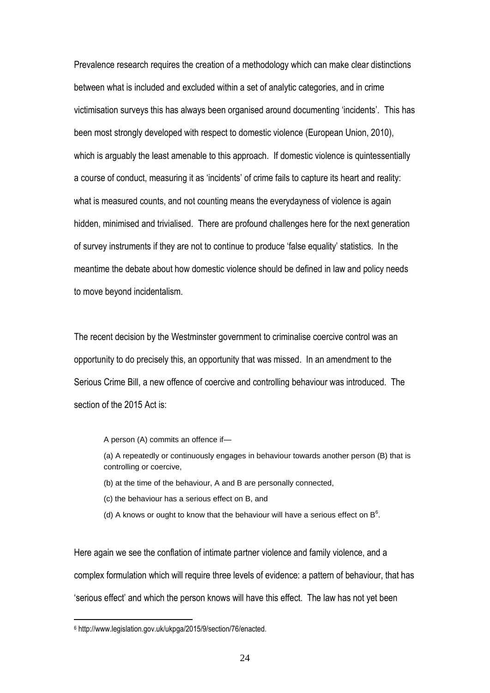Prevalence research requires the creation of a methodology which can make clear distinctions between what is included and excluded within a set of analytic categories, and in crime victimisation surveys this has always been organised around documenting 'incidents'. This has been most strongly developed with respect to domestic violence (European Union, 2010), which is arguably the least amenable to this approach. If domestic violence is quintessentially a course of conduct, measuring it as 'incidents' of crime fails to capture its heart and reality: what is measured counts, and not counting means the everydayness of violence is again hidden, minimised and trivialised. There are profound challenges here for the next generation of survey instruments if they are not to continue to produce 'false equality' statistics. In the meantime the debate about how domestic violence should be defined in law and policy needs to move beyond incidentalism.

The recent decision by the Westminster government to criminalise coercive control was an opportunity to do precisely this, an opportunity that was missed. In an amendment to the Serious Crime Bill, a new offence of coercive and controlling behaviour was introduced. The section of the 2015 Act is:

A person (A) commits an offence if—

(a) A repeatedly or continuously engages in behaviour towards another person (B) that is controlling or coercive,

- (b) at the time of the behaviour, A and B are personally connected,
- (c) the behaviour has a serious effect on B, and
- (d) A knows or ought to know that the behaviour will have a serious effect on  $B^6$ .

Here again we see the conflation of intimate partner violence and family violence, and a complex formulation which will require three levels of evidence: a pattern of behaviour, that has 'serious effect' and which the person knows will have this effect. The law has not yet been

<sup>6</sup> http://www.legislation.gov.uk/ukpga/2015/9/section/76/enacted.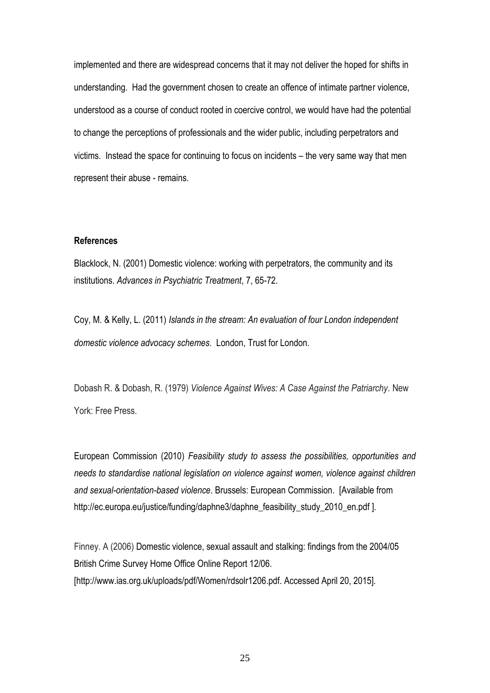implemented and there are widespread concerns that it may not deliver the hoped for shifts in understanding. Had the government chosen to create an offence of intimate partner violence, understood as a course of conduct rooted in coercive control, we would have had the potential to change the perceptions of professionals and the wider public, including perpetrators and victims. Instead the space for continuing to focus on incidents – the very same way that men represent their abuse - remains.

## **References**

Blacklock, N. (2001) Domestic violence: working with perpetrators, the community and its institutions. *Advances in Psychiatric Treatment*, 7, 65-72.

Coy, M. & Kelly, L. (2011) *Islands in the stream: An evaluation of four London independent domestic violence advocacy schemes*. London, Trust for London.

Dobash R. & Dobash, R. (1979) *Violence Against Wives: A Case Against the Patriarchy.* New York: Free Press.

European Commission (2010) *Feasibility study to assess the possibilities, opportunities and needs to standardise national legislation on violence against women, violence against children and sexual-orientation-based violence*. Brussels: European Commission. [Available from http://ec.europa.eu/justice/funding/daphne3/daphne\_feasibility\_study\_2010\_en.pdf ].

Finney. A (2006) Domestic violence, sexual assault and stalking: findings from the 2004/05 British Crime Survey Home Office Online Report 12/06. [http://www.ias.org.uk/uploads/pdf/Women/rdsolr1206.pdf. Accessed April 20, 2015].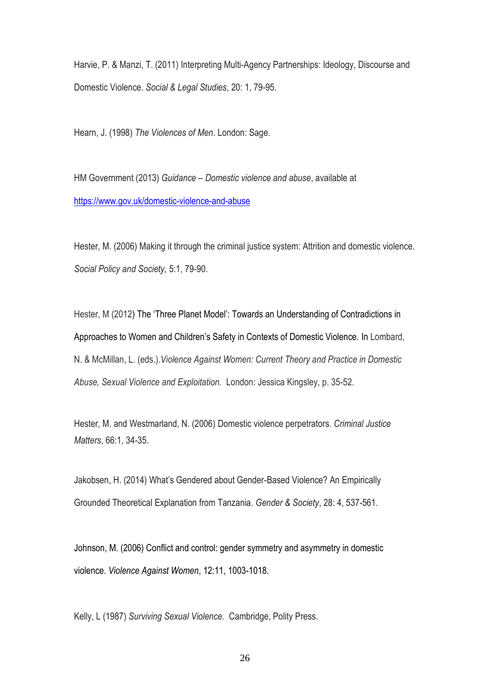Harvie, P. & Manzi, T. (2011) Interpreting Multi-Agency Partnerships: Ideology, Discourse and Domestic Violence. *Social & Legal Studies*, 20: 1, 79-95.

Hearn, J. (1998) *The Violences of Men*. London: Sage.

HM Government (2013) *Guidance – Domestic violence and abuse*, available at <https://www.gov.uk/domestic-violence-and-abuse>

Hester, M. (2006) Making it through the criminal justice system: Attrition and domestic violence. *Social Policy and Society,* 5:1, 79-90.

Hester, M (2012) The 'Three Planet Model': Towards an Understanding of Contradictions in Approaches to Women and Children's Safety in Contexts of Domestic Violence. In Lombard, N. & McMillan, L. (eds.).*Violence Against Women: Current Theory and Practice in Domestic Abuse, Sexual Violence and Exploitation.* London: Jessica Kingsley, p. 35-52.

Hester, M. and Westmarland, N. (2006) Domestic violence perpetrators. *Criminal Justice Matters*, 66:1, 34-35.

Jakobsen, H. (2014) What's Gendered about Gender-Based Violence? An Empirically Grounded Theoretical Explanation from Tanzania. *Gender & Society*, 28: 4, 537-561.

Johnson, M. (2006) Conflict and control: gender symmetry and asymmetry in domestic violence. *Violence Against Women*, 12:11, 1003-1018.

Kelly, L (1987) *Surviving Sexual Violence.* Cambridge, Polity Press.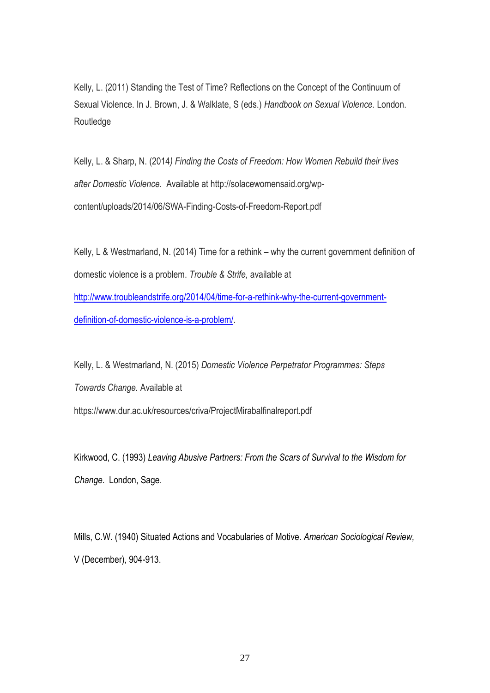Kelly, L. (2011) Standing the Test of Time? Reflections on the Concept of the Continuum of Sexual Violence. In J. Brown, J. & Walklate, S (eds.) *Handbook on Sexual Violence.* London. Routledge

Kelly, L. & Sharp, N. (2014*) Finding the Costs of Freedom: How Women Rebuild their lives after Domestic Violence*. Available at http://solacewomensaid.org/wpcontent/uploads/2014/06/SWA-Finding-Costs-of-Freedom-Report.pdf

Kelly, L & Westmarland, N. (2014) Time for a rethink – why the current government definition of domestic violence is a problem. *Trouble & Strife,* available at [http://www.troubleandstrife.org/2014/04/time-for-a-rethink-why-the-current-government](http://www.troubleandstrife.org/2014/04/time-for-a-rethink-why-the-current-government-definition-of-domestic-violence-is-a-problem/)[definition-of-domestic-violence-is-a-problem/.](http://www.troubleandstrife.org/2014/04/time-for-a-rethink-why-the-current-government-definition-of-domestic-violence-is-a-problem/)

Kelly, L. & Westmarland, N. (2015) *Domestic Violence Perpetrator Programmes: Steps Towards Change.* Available at https://www.dur.ac.uk/resources/criva/ProjectMirabalfinalreport.pdf

Kirkwood, C. (1993) *Leaving Abusive Partners: From the Scars of Survival to the Wisdom for Change*. London, Sage.

Mills, C.W. (1940) Situated Actions and Vocabularies of Motive. *American Sociological Review,*  V (December), 904-913.